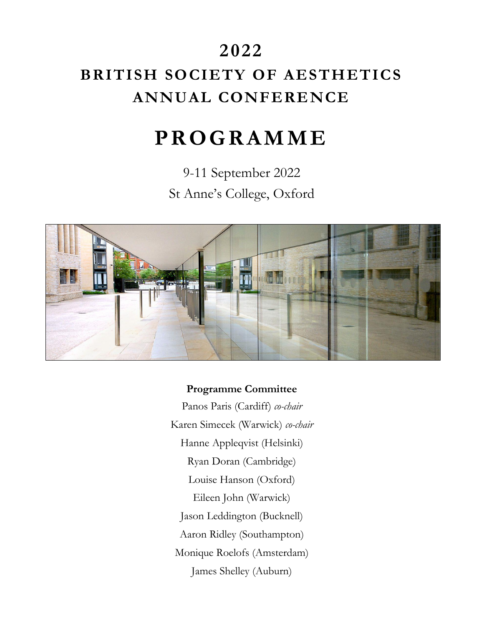# **2022 BRITISH SOCIETY OF AESTHETICS ANNUAL CONFERENCE**

# **P R O G R A M M E**

9-11 September 2022 St Anne's College, Oxford



### **Programme Committee**

Panos Paris (Cardiff) *co-chair* Karen Simecek (Warwick) *co-chair* Hanne Appleqvist (Helsinki) Ryan Doran (Cambridge) Louise Hanson (Oxford) Eileen John (Warwick) Jason Leddington (Bucknell) Aaron Ridley (Southampton) Monique Roelofs (Amsterdam) James Shelley (Auburn)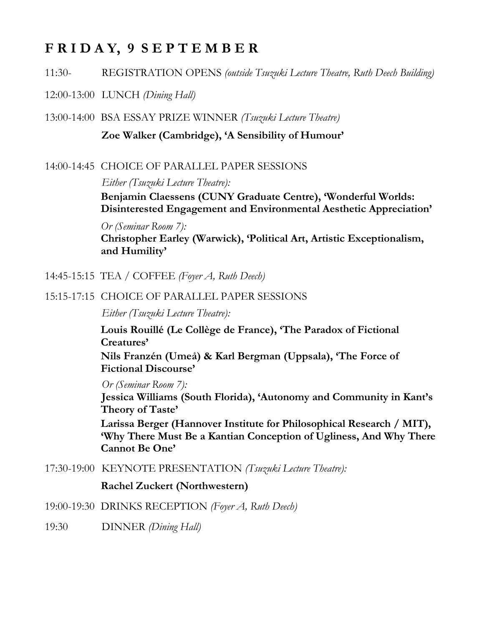## **F R I D A Y, 9 S E P T E M B E R**

11:30- REGISTRATION OPENS *(outside Tsuzuki Lecture Theatre, Ruth Deech Building)*

12:00-13:00 LUNCH *(Dining Hall)*

13:00-14:00 BSA ESSAY PRIZE WINNER *(Tsuzuki Lecture Theatre)* **Zoe Walker (Cambridge), 'A Sensibility of Humour'**

14:00-14:45 CHOICE OF PARALLEL PAPER SESSIONS

*Either (Tsuzuki Lecture Theatre):*

**Benjamin Claessens (CUNY Graduate Centre), 'Wonderful Worlds: Disinterested Engagement and Environmental Aesthetic Appreciation'**

*Or (Seminar Room 7):* **Christopher Earley (Warwick), 'Political Art, Artistic Exceptionalism, and Humility'**

- 14:45-15:15 TEA / COFFEE *(Foyer A, Ruth Deech)*
- 15:15-17:15 CHOICE OF PARALLEL PAPER SESSIONS

*Either (Tsuzuki Lecture Theatre):*

**Louis Rouillé (Le Collège de France), 'The Paradox of Fictional Creatures'**

**Nils Franzén (Umeå) & Karl Bergman (Uppsala), 'The Force of Fictional Discourse'**

*Or (Seminar Room 7):*

**Jessica Williams (South Florida), 'Autonomy and Community in Kant's Theory of Taste'**

**Larissa Berger (Hannover Institute for Philosophical Research / MIT), 'Why There Must Be a Kantian Conception of Ugliness, And Why There Cannot Be One'**

17:30-19:00 KEYNOTE PRESENTATION *(Tsuzuki Lecture Theatre):*

**Rachel Zuckert (Northwestern)**

- 19:00-19:30 DRINKS RECEPTION *(Foyer A, Ruth Deech)*
- 19:30 DINNER *(Dining Hall)*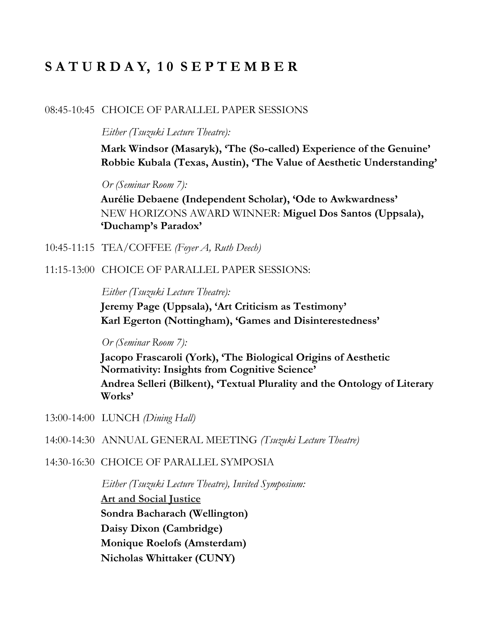## **S A T U R D A Y, 1 0 S E P T E M B E R**

#### 08:45-10:45 CHOICE OF PARALLEL PAPER SESSIONS

*Either (Tsuzuki Lecture Theatre):* 

**Mark Windsor (Masaryk), 'The (So-called) Experience of the Genuine' Robbie Kubala (Texas, Austin), 'The Value of Aesthetic Understanding'**

*Or (Seminar Room 7):*

**Aurélie Debaene (Independent Scholar), 'Ode to Awkwardness'** NEW HORIZONS AWARD WINNER: **Miguel Dos Santos (Uppsala), 'Duchamp's Paradox'**

- 10:45-11:15 TEA/COFFEE *(Foyer A, Ruth Deech)*
- 11:15-13:00 CHOICE OF PARALLEL PAPER SESSIONS:

*Either (Tsuzuki Lecture Theatre):*

**Jeremy Page (Uppsala), 'Art Criticism as Testimony' Karl Egerton (Nottingham), 'Games and Disinterestedness'**

*Or (Seminar Room 7):*

**Jacopo Frascaroli (York), 'The Biological Origins of Aesthetic Normativity: Insights from Cognitive Science' Andrea Selleri (Bilkent), 'Textual Plurality and the Ontology of Literary Works'**

- 13:00-14:00 LUNCH *(Dining Hall)*
- 14:00-14:30 ANNUAL GENERAL MEETING *(Tsuzuki Lecture Theatre)*
- 14:30-16:30 CHOICE OF PARALLEL SYMPOSIA

*Either (Tsuzuki Lecture Theatre), Invited Symposium:* **Art and Social Justice Sondra Bacharach (Wellington) Daisy Dixon (Cambridge) Monique Roelofs (Amsterdam) Nicholas Whittaker (CUNY)**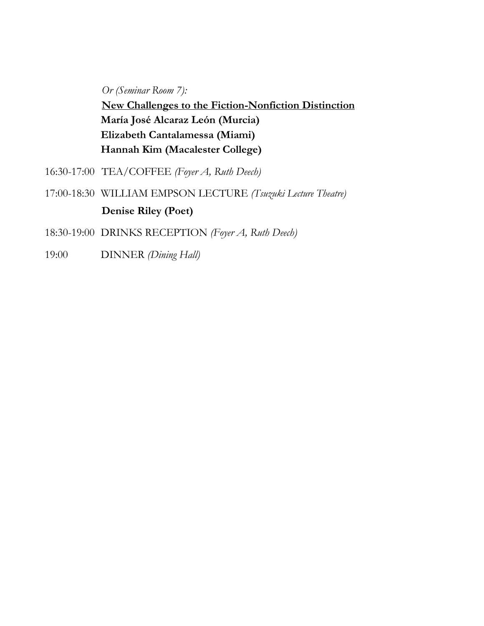*Or (Seminar Room 7):* **New Challenges to the Fiction-Nonfiction Distinction María José Alcaraz León (Murcia) Elizabeth Cantalamessa (Miami) Hannah Kim (Macalester College)**

- 16:30-17:00 TEA/COFFEE *(Foyer A, Ruth Deech)*
- 17:00-18:30 WILLIAM EMPSON LECTURE *(Tsuzuki Lecture Theatre)* **Denise Riley (Poet)**
- 18:30-19:00 DRINKS RECEPTION *(Foyer A, Ruth Deech)*
- 19:00 DINNER *(Dining Hall)*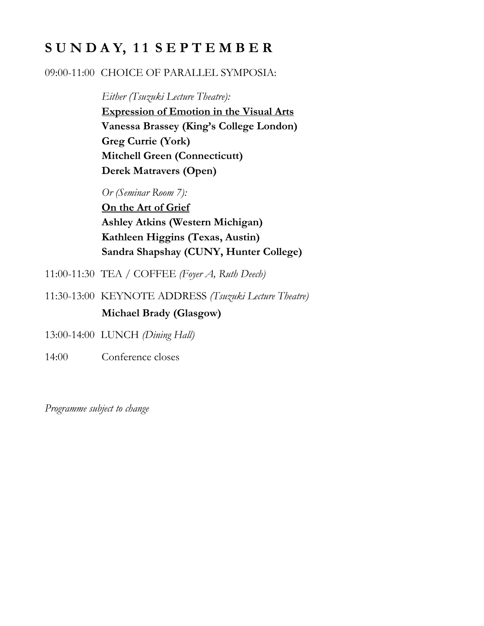# **S U N D A Y, 1 1 S E P T E M B E R**

### 09:00-11:00 CHOICE OF PARALLEL SYMPOSIA:

*Either (Tsuzuki Lecture Theatre):* **Expression of Emotion in the Visual Arts Vanessa Brassey (King's College London) Greg Currie (York) Mitchell Green (Connecticutt) Derek Matravers (Open)**

*Or (Seminar Room 7):*

**On the Art of Grief Ashley Atkins (Western Michigan) Kathleen Higgins (Texas, Austin) Sandra Shapshay (CUNY, Hunter College)**

- 11:00-11:30 TEA / COFFEE *(Foyer A, Ruth Deech)*
- 11:30-13:00 KEYNOTE ADDRESS *(Tsuzuki Lecture Theatre)* **Michael Brady (Glasgow)**
- 13:00-14:00 LUNCH *(Dining Hall)*
- 14:00 Conference closes

*Programme subject to change*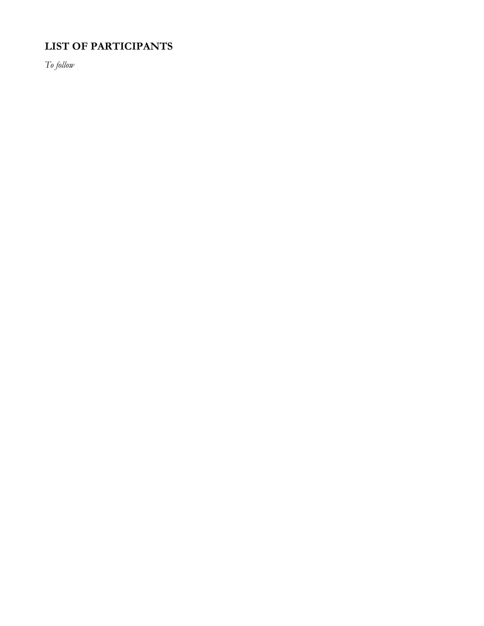## **LIST OF PARTICIPANTS**

*To follow*